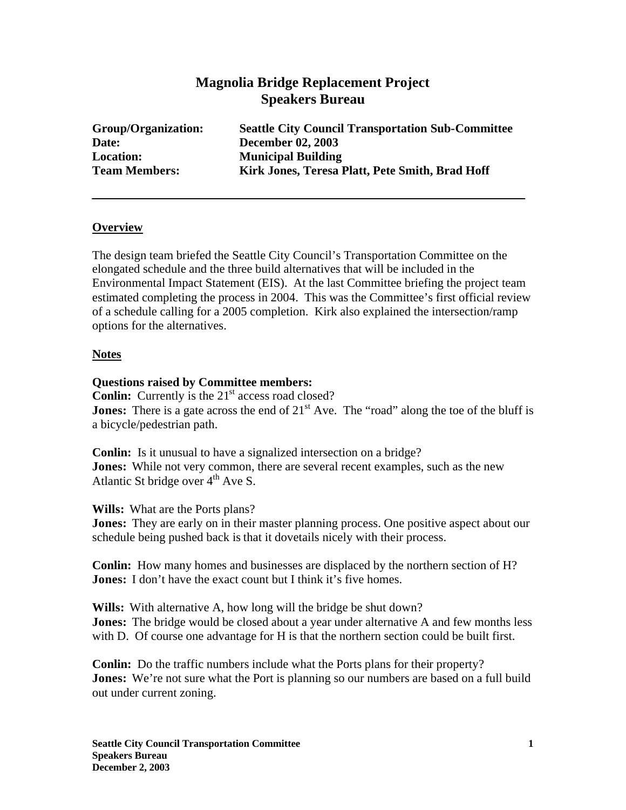# **Magnolia Bridge Replacement Project Speakers Bureau**

| Group/Organization:  | <b>Seattle City Council Transportation Sub-Committee</b> |
|----------------------|----------------------------------------------------------|
| Date:                | <b>December 02, 2003</b>                                 |
| <b>Location:</b>     | <b>Municipal Building</b>                                |
| <b>Team Members:</b> | Kirk Jones, Teresa Platt, Pete Smith, Brad Hoff          |

### **Overview**

The design team briefed the Seattle City Council's Transportation Committee on the elongated schedule and the three build alternatives that will be included in the Environmental Impact Statement (EIS). At the last Committee briefing the project team estimated completing the process in 2004. This was the Committee's first official review of a schedule calling for a 2005 completion. Kirk also explained the intersection/ramp options for the alternatives.

### **Notes**

### **Questions raised by Committee members:**

**Conlin:** Currently is the 21<sup>st</sup> access road closed? **Jones:** There is a gate across the end of  $21<sup>st</sup>$  Ave. The "road" along the toe of the bluff is a bicycle/pedestrian path.

**Conlin:** Is it unusual to have a signalized intersection on a bridge? **Jones:** While not very common, there are several recent examples, such as the new Atlantic St bridge over  $4<sup>th</sup>$  Ave S.

**Wills:** What are the Ports plans?

**Jones:** They are early on in their master planning process. One positive aspect about our schedule being pushed back is that it dovetails nicely with their process.

**Conlin:** How many homes and businesses are displaced by the northern section of H? **Jones:** I don't have the exact count but I think it's five homes.

**Wills:** With alternative A, how long will the bridge be shut down? **Jones:** The bridge would be closed about a year under alternative A and few months less with D. Of course one advantage for H is that the northern section could be built first.

**Conlin:** Do the traffic numbers include what the Ports plans for their property? **Jones:** We're not sure what the Port is planning so our numbers are based on a full build out under current zoning.